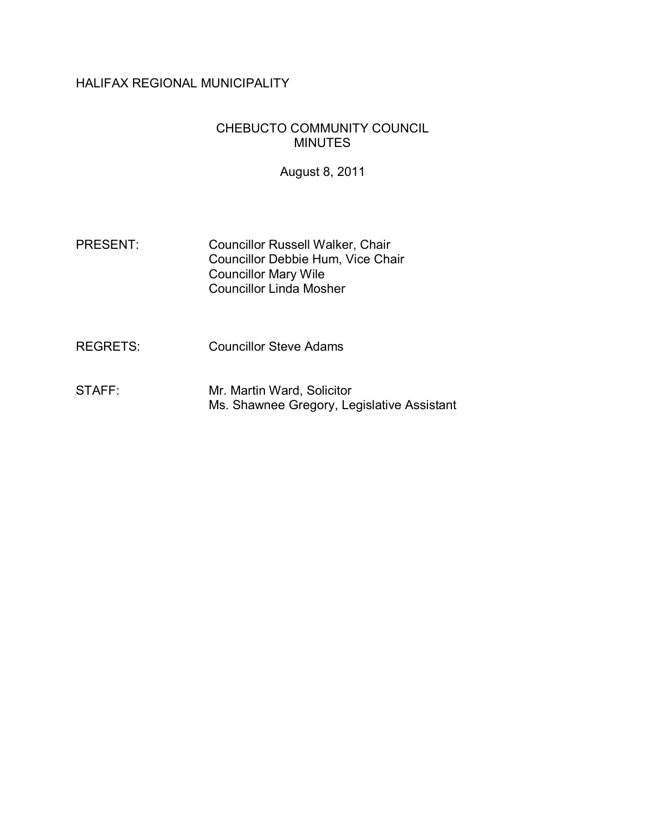## HALIFAX REGIONAL MUNICIPALITY

### CHEBUCTO COMMUNITY COUNCIL MINUTES

August 8, 2011

- PRESENT: Councillor Russell Walker, Chair Councillor Debbie Hum, Vice Chair Councillor Mary Wile Councillor Linda Mosher
- REGRETS: Councillor Steve Adams
- STAFF: Mr. Martin Ward, Solicitor Ms. Shawnee Gregory, Legislative Assistant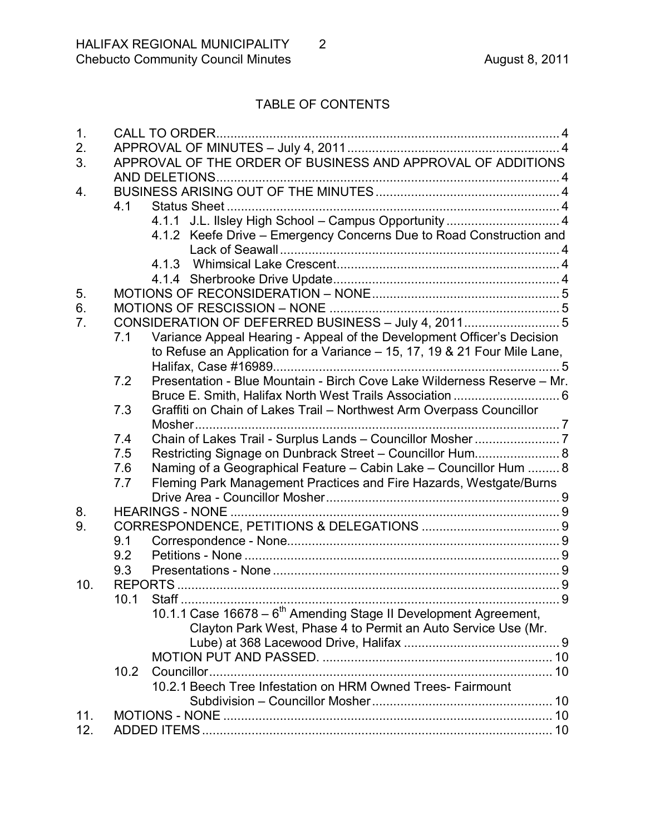# TABLE OF CONTENTS

| 1.  |      | <b>CALL TO ORDER.</b>                                                        |  |  |
|-----|------|------------------------------------------------------------------------------|--|--|
| 2.  |      |                                                                              |  |  |
| 3.  |      | APPROVAL OF THE ORDER OF BUSINESS AND APPROVAL OF ADDITIONS                  |  |  |
|     |      |                                                                              |  |  |
| 4.  |      |                                                                              |  |  |
|     | 4.1  | Status Sheet                                                                 |  |  |
|     |      | 4.1.1 J.L. Ilsley High School - Campus Opportunity  4                        |  |  |
|     |      | 4.1.2 Keefe Drive - Emergency Concerns Due to Road Construction and          |  |  |
|     |      |                                                                              |  |  |
|     |      |                                                                              |  |  |
|     |      |                                                                              |  |  |
| 5.  |      |                                                                              |  |  |
| 6.  |      |                                                                              |  |  |
| 7.  |      | CONSIDERATION OF DEFERRED BUSINESS - July 4, 20115                           |  |  |
|     | 7.1  | Variance Appeal Hearing - Appeal of the Development Officer's Decision       |  |  |
|     |      | to Refuse an Application for a Variance - 15, 17, 19 & 21 Four Mile Lane,    |  |  |
|     |      |                                                                              |  |  |
|     | 7.2  | Presentation - Blue Mountain - Birch Cove Lake Wilderness Reserve - Mr.      |  |  |
|     |      |                                                                              |  |  |
|     | 7.3  | Graffiti on Chain of Lakes Trail - Northwest Arm Overpass Councillor         |  |  |
|     |      | Mosher                                                                       |  |  |
|     | 7.4  |                                                                              |  |  |
|     | 7.5  | Restricting Signage on Dunbrack Street - Councillor Hum 8                    |  |  |
|     | 7.6  | Naming of a Geographical Feature - Cabin Lake - Councillor Hum  8            |  |  |
|     | 7.7  | Fleming Park Management Practices and Fire Hazards, Westgate/Burns           |  |  |
|     |      |                                                                              |  |  |
| 8.  |      | <b>HEARINGS - NONE </b>                                                      |  |  |
| 9.  |      |                                                                              |  |  |
|     | 9.1  |                                                                              |  |  |
|     | 9.2  |                                                                              |  |  |
|     | 9.3  |                                                                              |  |  |
| 10. |      |                                                                              |  |  |
|     |      | 10.1 Staff                                                                   |  |  |
|     |      | 10.1.1 Case 16678 – 6 <sup>th</sup> Amending Stage II Development Agreement, |  |  |
|     |      | Clayton Park West, Phase 4 to Permit an Auto Service Use (Mr.                |  |  |
|     |      |                                                                              |  |  |
|     |      |                                                                              |  |  |
|     | 10.2 |                                                                              |  |  |
|     |      | 10.2.1 Beech Tree Infestation on HRM Owned Trees- Fairmount                  |  |  |
|     |      |                                                                              |  |  |
| 11. |      |                                                                              |  |  |
| 12. |      |                                                                              |  |  |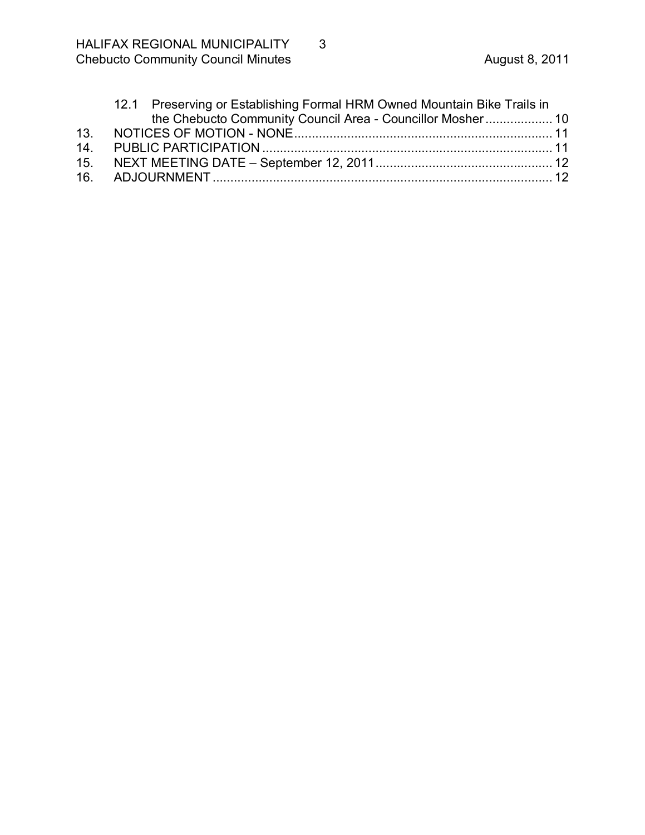| 12.1 Preserving or Establishing Formal HRM Owned Mountain Bike Trails in |  |  |
|--------------------------------------------------------------------------|--|--|
| the Chebucto Community Council Area - Councillor Mosher 10               |  |  |
|                                                                          |  |  |
|                                                                          |  |  |
|                                                                          |  |  |
|                                                                          |  |  |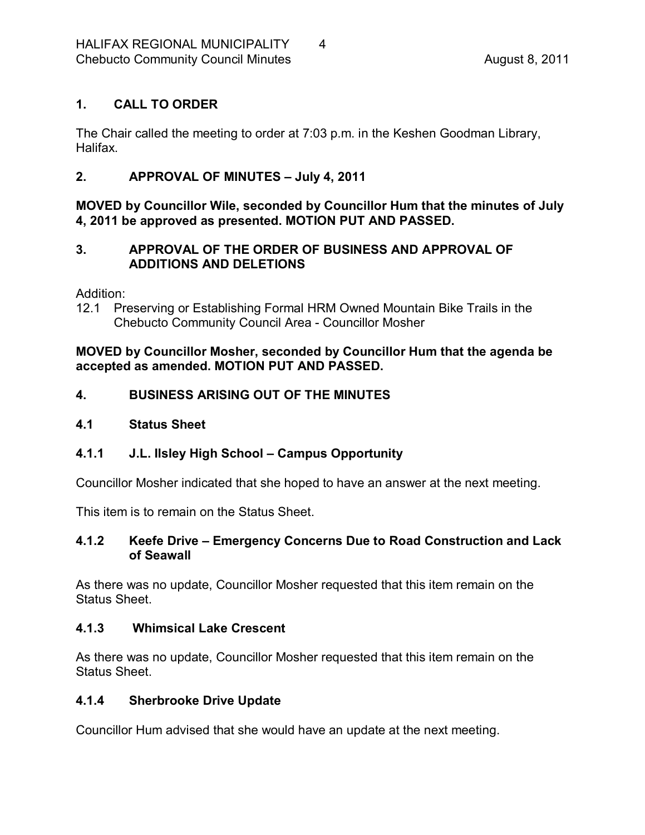## <span id="page-3-0"></span>**1. CALL TO ORDER**

The Chair called the meeting to order at 7:03 p.m. in the Keshen Goodman Library, Halifax.

## <span id="page-3-1"></span>**2. APPROVAL OF MINUTES – July 4, 2011**

## **MOVED by Councillor Wile, seconded by Councillor Hum that the minutes of July 4, 2011 be approved as presented. MOTION PUT AND PASSED.**

## <span id="page-3-2"></span>**3. APPROVAL OF THE ORDER OF BUSINESS AND APPROVAL OF ADDITIONS AND DELETIONS**

Addition:

12.1 Preserving or Establishing Formal HRM Owned Mountain Bike Trails in the Chebucto Community Council Area - Councillor Mosher

**MOVED by Councillor Mosher, seconded by Councillor Hum that the agenda be accepted as amended. MOTION PUT AND PASSED.** 

## <span id="page-3-3"></span>**4. BUSINESS ARISING OUT OF THE MINUTES**

## <span id="page-3-4"></span>**4.1 Status Sheet**

## <span id="page-3-5"></span>**4.1.1 J.L. Ilsley High School – Campus Opportunity**

Councillor Mosher indicated that she hoped to have an answer at the next meeting.

This item is to remain on the Status Sheet.

### <span id="page-3-6"></span>**4.1.2 Keefe Drive – Emergency Concerns Due to Road Construction and Lack of Seawall**

As there was no update, Councillor Mosher requested that this item remain on the Status Sheet.

### <span id="page-3-7"></span>**4.1.3 Whimsical Lake Crescent**

As there was no update, Councillor Mosher requested that this item remain on the Status Sheet.

## <span id="page-3-8"></span>**4.1.4 Sherbrooke Drive Update**

Councillor Hum advised that she would have an update at the next meeting.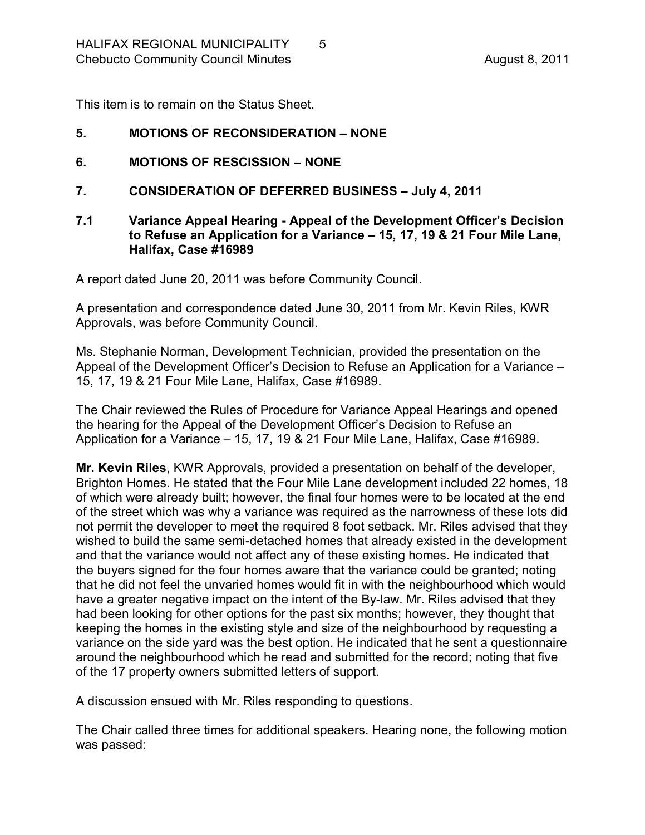This item is to remain on the Status Sheet.

### <span id="page-4-0"></span>**5. MOTIONS OF RECONSIDERATION – NONE**

- <span id="page-4-1"></span>**6. MOTIONS OF RESCISSION – NONE**
- <span id="page-4-2"></span>**7. CONSIDERATION OF DEFERRED BUSINESS – July 4, 2011**
- <span id="page-4-3"></span>**7.1 Variance Appeal Hearing Appeal of the Development Officer's Decision to Refuse an Application for a Variance – 15, 17, 19 & 21 Four Mile Lane, Halifax, Case #16989**

A report dated June 20, 2011 was before Community Council.

A presentation and correspondence dated June 30, 2011 from Mr. Kevin Riles, KWR Approvals, was before Community Council.

Ms. Stephanie Norman, Development Technician, provided the presentation on the Appeal of the Development Officer's Decision to Refuse an Application for a Variance – 15, 17, 19 & 21 Four Mile Lane, Halifax, Case #16989.

The Chair reviewed the Rules of Procedure for Variance Appeal Hearings and opened the hearing for the Appeal of the Development Officer's Decision to Refuse an Application for a Variance – 15, 17, 19 & 21 Four Mile Lane, Halifax, Case #16989.

**Mr. Kevin Riles**, KWR Approvals, provided a presentation on behalf of the developer, Brighton Homes. He stated that the Four Mile Lane development included 22 homes, 18 of which were already built; however, the final four homes were to be located at the end of the street which was why a variance was required as the narrowness of these lots did not permit the developer to meet the required 8 foot setback. Mr. Riles advised that they wished to build the same semi-detached homes that already existed in the development and that the variance would not affect any of these existing homes. He indicated that the buyers signed for the four homes aware that the variance could be granted; noting that he did not feel the unvaried homes would fit in with the neighbourhood which would have a greater negative impact on the intent of the By-law. Mr. Riles advised that they had been looking for other options for the past six months; however, they thought that keeping the homes in the existing style and size of the neighbourhood by requesting a variance on the side yard was the best option. He indicated that he sent a questionnaire around the neighbourhood which he read and submitted for the record; noting that five of the 17 property owners submitted letters of support.

A discussion ensued with Mr. Riles responding to questions.

The Chair called three times for additional speakers. Hearing none, the following motion was passed: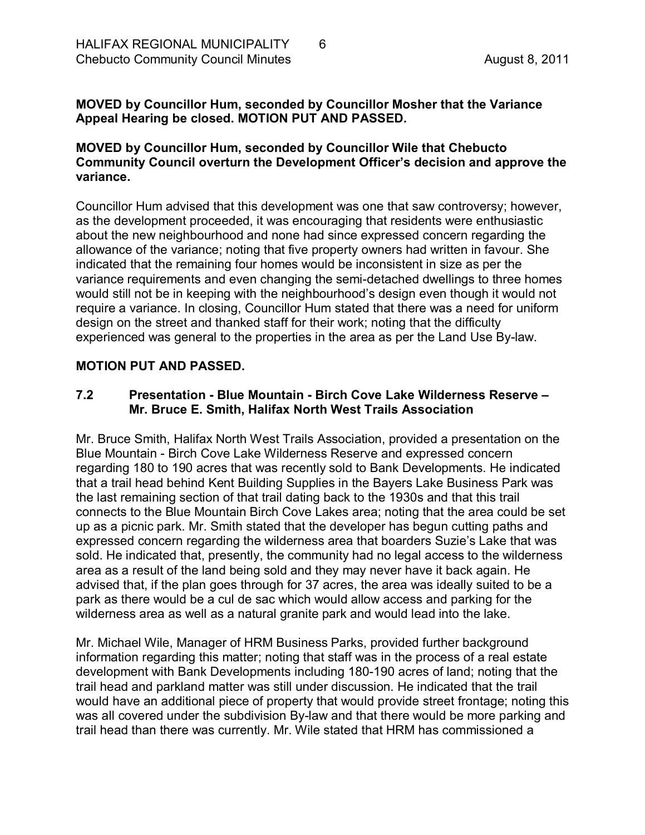### **MOVED by Councillor Hum, seconded by Councillor Mosher that the Variance Appeal Hearing be closed. MOTION PUT AND PASSED.**

### **MOVED by Councillor Hum, seconded by Councillor Wile that Chebucto Community Council overturn the Development Officer's decision and approve the variance.**

Councillor Hum advised that this development was one that saw controversy; however, as the development proceeded, it was encouraging that residents were enthusiastic about the new neighbourhood and none had since expressed concern regarding the allowance of the variance; noting that five property owners had written in favour. She indicated that the remaining four homes would be inconsistent in size as per the variance requirements and even changing the semi-detached dwellings to three homes would still not be in keeping with the neighbourhood's design even though it would not require a variance. In closing, Councillor Hum stated that there was a need for uniform design on the street and thanked staff for their work; noting that the difficulty experienced was general to the properties in the area as per the Land Use By-law.

### **MOTION PUT AND PASSED.**

## <span id="page-5-0"></span>**7.2 Presentation Blue Mountain Birch Cove Lake Wilderness Reserve – Mr. Bruce E. Smith, Halifax North West Trails Association**

Mr. Bruce Smith, Halifax North West Trails Association, provided a presentation on the Blue Mountain - Birch Cove Lake Wilderness Reserve and expressed concern regarding 180 to 190 acres that was recently sold to Bank Developments. He indicated that a trail head behind Kent Building Supplies in the Bayers Lake Business Park was the last remaining section of that trail dating back to the 1930s and that this trail connects to the Blue Mountain Birch Cove Lakes area; noting that the area could be set up as a picnic park. Mr. Smith stated that the developer has begun cutting paths and expressed concern regarding the wilderness area that boarders Suzie's Lake that was sold. He indicated that, presently, the community had no legal access to the wilderness area as a result of the land being sold and they may never have it back again. He advised that, if the plan goes through for 37 acres, the area was ideally suited to be a park as there would be a cul de sac which would allow access and parking for the wilderness area as well as a natural granite park and would lead into the lake.

Mr. Michael Wile, Manager of HRM Business Parks, provided further background information regarding this matter; noting that staff was in the process of a real estate development with Bank Developments including 180-190 acres of land; noting that the trail head and parkland matter was still under discussion. He indicated that the trail would have an additional piece of property that would provide street frontage; noting this was all covered under the subdivision By-law and that there would be more parking and trail head than there was currently. Mr. Wile stated that HRM has commissioned a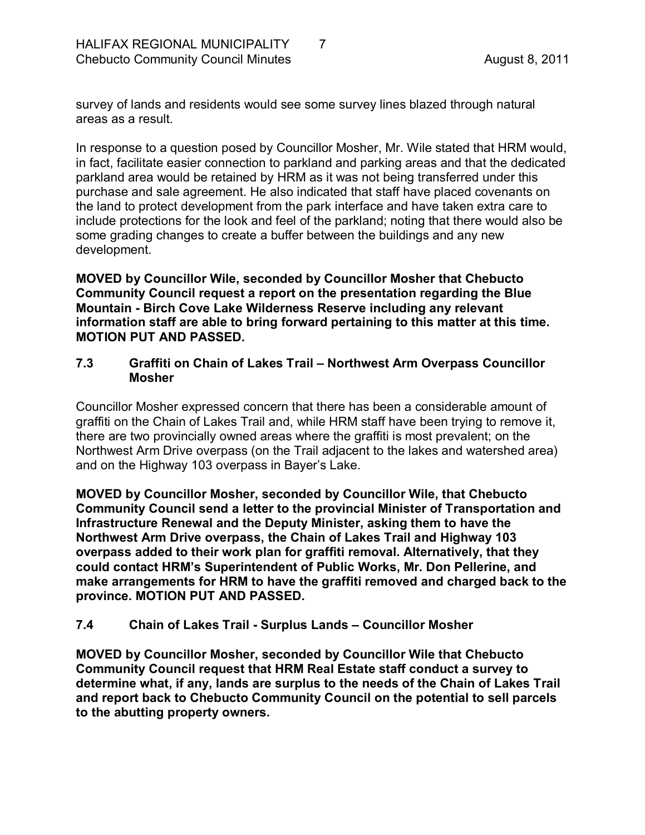survey of lands and residents would see some survey lines blazed through natural areas as a result.

In response to a question posed by Councillor Mosher, Mr. Wile stated that HRM would, in fact, facilitate easier connection to parkland and parking areas and that the dedicated parkland area would be retained by HRM as it was not being transferred under this purchase and sale agreement. He also indicated that staff have placed covenants on the land to protect development from the park interface and have taken extra care to include protections for the look and feel of the parkland; noting that there would also be some grading changes to create a buffer between the buildings and any new development.

**MOVED by Councillor Wile, seconded by Councillor Mosher that Chebucto Community Council request a report on the presentation regarding the Blue Mountain Birch Cove Lake Wilderness Reserve including any relevant information staff are able to bring forward pertaining to this matter at this time. MOTION PUT AND PASSED.** 

### <span id="page-6-0"></span>**7.3 Graffiti on Chain of Lakes Trail – Northwest Arm Overpass Councillor Mosher**

Councillor Mosher expressed concern that there has been a considerable amount of graffiti on the Chain of Lakes Trail and, while HRM staff have been trying to remove it, there are two provincially owned areas where the graffiti is most prevalent; on the Northwest Arm Drive overpass (on the Trail adjacent to the lakes and watershed area) and on the Highway 103 overpass in Bayer's Lake.

**MOVED by Councillor Mosher, seconded by Councillor Wile, that Chebucto Community Council send a letter to the provincial Minister of Transportation and Infrastructure Renewal and the Deputy Minister, asking them to have the Northwest Arm Drive overpass, the Chain of Lakes Trail and Highway 103 overpass added to their work plan for graffiti removal. Alternatively, that they could contact HRM's Superintendent of Public Works, Mr. Don Pellerine, and make arrangements for HRM to have the graffiti removed and charged back to the province. MOTION PUT AND PASSED.** 

### <span id="page-6-1"></span>**7.4 Chain of Lakes Trail Surplus Lands – Councillor Mosher**

**MOVED by Councillor Mosher, seconded by Councillor Wile that Chebucto Community Council request that HRM Real Estate staff conduct a survey to determine what, if any, lands are surplus to the needs of the Chain of Lakes Trail and report back to Chebucto Community Council on the potential to sell parcels to the abutting property owners.**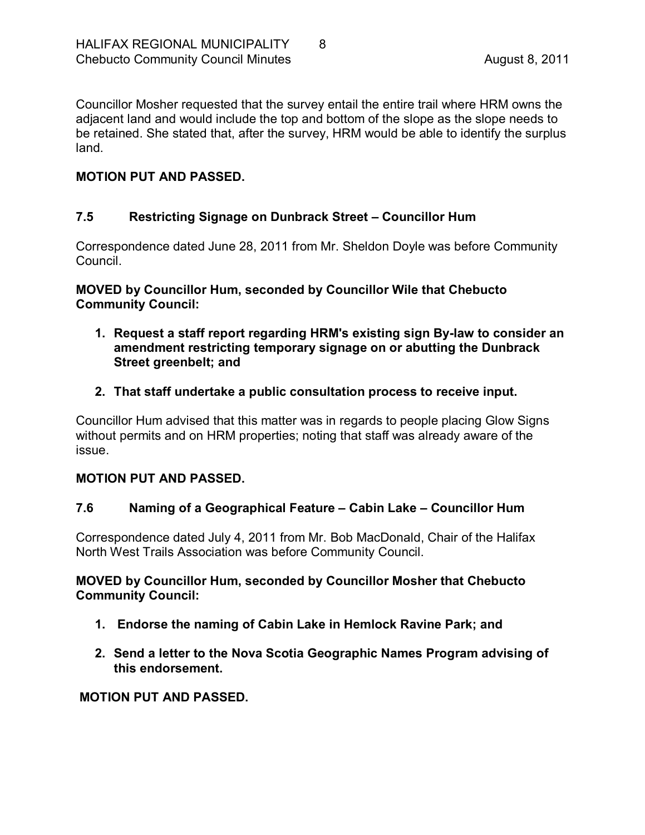Councillor Mosher requested that the survey entail the entire trail where HRM owns the adjacent land and would include the top and bottom of the slope as the slope needs to be retained. She stated that, after the survey, HRM would be able to identify the surplus land.

### **MOTION PUT AND PASSED.**

## <span id="page-7-0"></span>**7.5 Restricting Signage on Dunbrack Street – Councillor Hum**

Correspondence dated June 28, 2011 from Mr. Sheldon Doyle was before Community Council.

**MOVED by Councillor Hum, seconded by Councillor Wile that Chebucto Community Council:**

- **1. Request a staff report regarding HRM's existing sign Bylaw to consider an amendment restricting temporary signage on or abutting the Dunbrack Street greenbelt; and**
- **2. That staff undertake a public consultation process to receive input.**

Councillor Hum advised that this matter was in regards to people placing Glow Signs without permits and on HRM properties; noting that staff was already aware of the issue.

### **MOTION PUT AND PASSED.**

### <span id="page-7-1"></span>**7.6 Naming of a Geographical Feature – Cabin Lake – Councillor Hum**

Correspondence dated July 4, 2011 from Mr. Bob MacDonald, Chair of the Halifax North West Trails Association was before Community Council.

### **MOVED by Councillor Hum, seconded by Councillor Mosher that Chebucto Community Council:**

- **1. Endorse the naming of Cabin Lake in Hemlock Ravine Park; and**
- **2. Send a letter to the Nova Scotia Geographic Names Program advising of this endorsement.**

### **MOTION PUT AND PASSED.**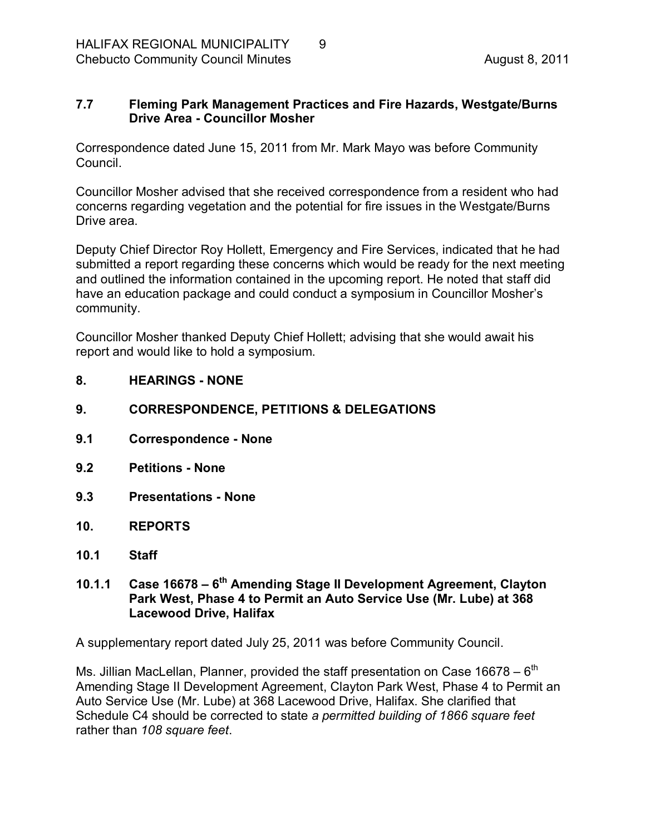### <span id="page-8-0"></span>**7.7 Fleming Park Management Practices and Fire Hazards, Westgate/Burns Drive Area - Councillor Mosher**

Correspondence dated June 15, 2011 from Mr. Mark Mayo was before Community Council.

Councillor Mosher advised that she received correspondence from a resident who had concerns regarding vegetation and the potential for fire issues in the Westgate/Burns Drive area.

Deputy Chief Director Roy Hollett, Emergency and Fire Services, indicated that he had submitted a report regarding these concerns which would be ready for the next meeting and outlined the information contained in the upcoming report. He noted that staff did have an education package and could conduct a symposium in Councillor Mosher's community.

Councillor Mosher thanked Deputy Chief Hollett; advising that she would await his report and would like to hold a symposium.

- <span id="page-8-1"></span>**8. HEARINGS NONE**
- <span id="page-8-2"></span>**9. CORRESPONDENCE, PETITIONS & DELEGATIONS**
- <span id="page-8-3"></span>**9.1 Correspondence None**
- <span id="page-8-4"></span>**9.2 Petitions None**
- <span id="page-8-5"></span>**9.3 Presentations None**
- <span id="page-8-6"></span>**10. REPORTS**
- <span id="page-8-7"></span>**10.1 Staff**

### <span id="page-8-8"></span>**10.1.1 Case 16678 – 6 th Amending Stage II Development Agreement, Clayton Park West, Phase 4 to Permit an Auto Service Use (Mr. Lube) at 368 Lacewood Drive, Halifax**

A supplementary report dated July 25, 2011 was before Community Council.

Ms. Jillian MacLellan, Planner, provided the staff presentation on Case  $16678 - 6^{th}$ Amending Stage II Development Agreement, Clayton Park West, Phase 4 to Permit an Auto Service Use (Mr. Lube) at 368 Lacewood Drive, Halifax. She clarified that Schedule C4 should be corrected to state *a permitted building of 1866 square feet* rather than *108 square feet*.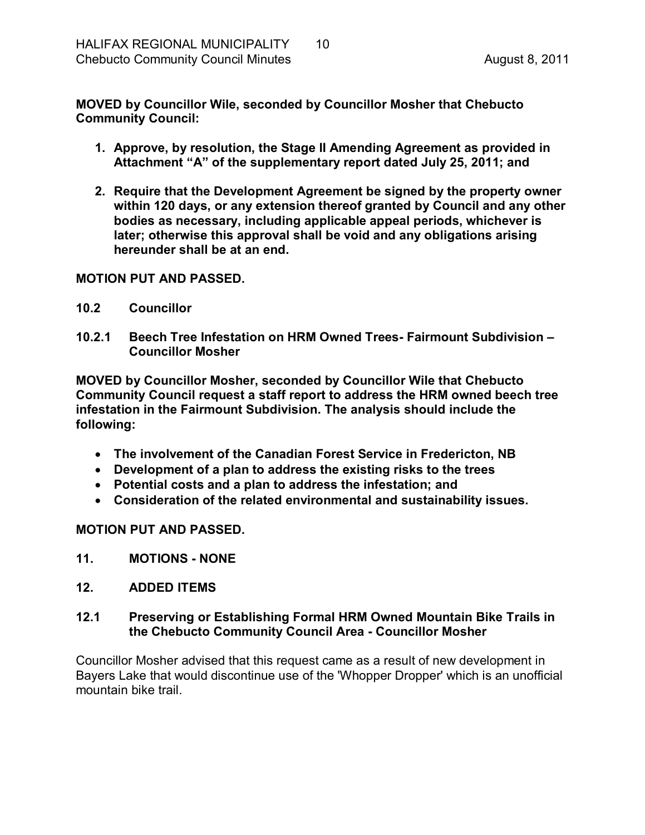**MOVED by Councillor Wile, seconded by Councillor Mosher that Chebucto Community Council:**

- **1. Approve, by resolution, the Stage II Amending Agreement as provided in Attachment "A" of the supplementary report dated July 25, 2011; and**
- **2. Require that the Development Agreement be signed by the property owner within 120 days, or any extension thereof granted by Council and any other bodies as necessary, including applicable appeal periods, whichever is later; otherwise this approval shall be void and any obligations arising hereunder shall be at an end.**

#### <span id="page-9-0"></span>**MOTION PUT AND PASSED.**

- <span id="page-9-1"></span>**10.2 Councillor**
- <span id="page-9-2"></span>**10.2.1 Beech Tree Infestation on HRM Owned Trees Fairmount Subdivision – Councillor Mosher**

**MOVED by Councillor Mosher, seconded by Councillor Wile that Chebucto Community Council request a staff report to address the HRM owned beech tree infestation in the Fairmount Subdivision. The analysis should include the following:**

- · **The involvement of the Canadian Forest Service in Fredericton, NB**
- · **Development of a plan to address the existing risks to the trees**
- · **Potential costs and a plan to address the infestation; and**
- · **Consideration of the related environmental and sustainability issues.**

### **MOTION PUT AND PASSED.**

<span id="page-9-3"></span>**11. MOTIONS NONE**

### <span id="page-9-4"></span>**12. ADDED ITEMS**

### <span id="page-9-5"></span>**12.1 Preserving or Establishing Formal HRM Owned Mountain Bike Trails in the Chebucto Community Council Area Councillor Mosher**

Councillor Mosher advised that this request came as a result of new development in Bayers Lake that would discontinue use of the 'Whopper Dropper' which is an unofficial mountain bike trail.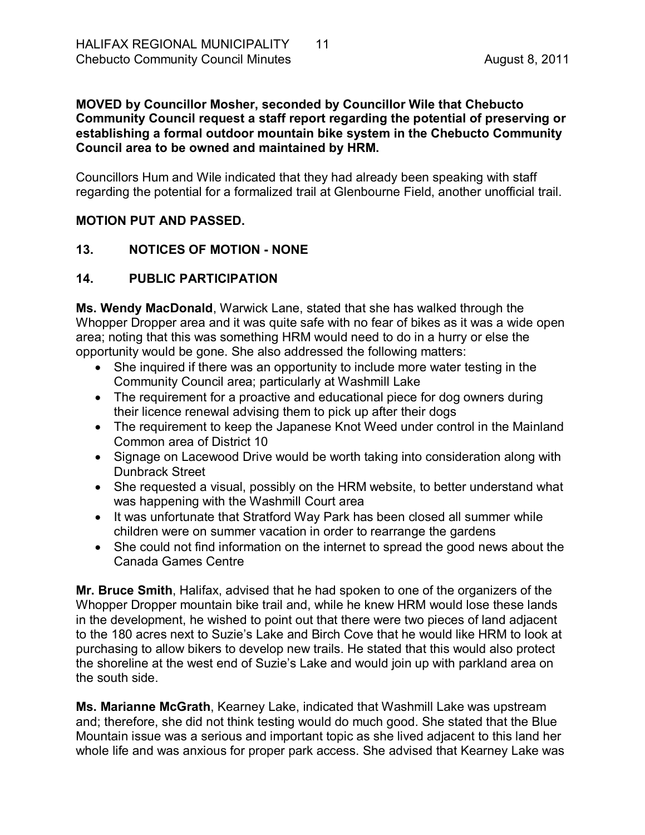#### **MOVED by Councillor Mosher, seconded by Councillor Wile that Chebucto Community Council request a staff report regarding the potential of preserving or establishing a formal outdoor mountain bike system in the Chebucto Community Council area to be owned and maintained by HRM.**

Councillors Hum and Wile indicated that they had already been speaking with staff regarding the potential for a formalized trail at Glenbourne Field, another unofficial trail.

## **MOTION PUT AND PASSED.**

## <span id="page-10-0"></span>13. NOTICES OF MOTION - NONE

## <span id="page-10-1"></span>**14. PUBLIC PARTICIPATION**

**Ms. Wendy MacDonald**, Warwick Lane, stated that she has walked through the Whopper Dropper area and it was quite safe with no fear of bikes as it was a wide open area; noting that this was something HRM would need to do in a hurry or else the opportunity would be gone. She also addressed the following matters:

- She inquired if there was an opportunity to include more water testing in the Community Council area; particularly at Washmill Lake
- The requirement for a proactive and educational piece for dog owners during their licence renewal advising them to pick up after their dogs
- The requirement to keep the Japanese Knot Weed under control in the Mainland Common area of District 10
- · Signage on Lacewood Drive would be worth taking into consideration along with Dunbrack Street
- · She requested a visual, possibly on the HRM website, to better understand what was happening with the Washmill Court area
- · It was unfortunate that Stratford Way Park has been closed all summer while children were on summer vacation in order to rearrange the gardens
- She could not find information on the internet to spread the good news about the Canada Games Centre

**Mr. Bruce Smith**, Halifax, advised that he had spoken to one of the organizers of the Whopper Dropper mountain bike trail and, while he knew HRM would lose these lands in the development, he wished to point out that there were two pieces of land adjacent to the 180 acres next to Suzie's Lake and Birch Cove that he would like HRM to look at purchasing to allow bikers to develop new trails. He stated that this would also protect the shoreline at the west end of Suzie's Lake and would join up with parkland area on the south side.

**Ms. Marianne McGrath**, Kearney Lake, indicated that Washmill Lake was upstream and; therefore, she did not think testing would do much good. She stated that the Blue Mountain issue was a serious and important topic as she lived adjacent to this land her whole life and was anxious for proper park access. She advised that Kearney Lake was